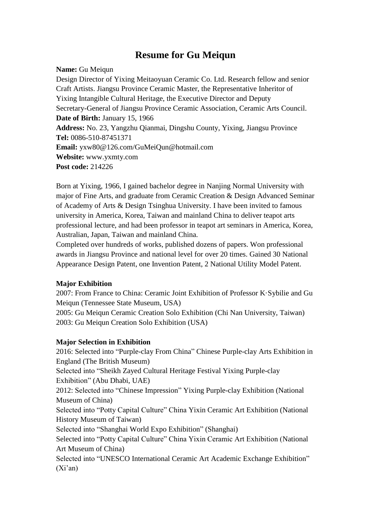# **Resume for Gu Meiqun**

**Name:** Gu Meiqun Design Director of Yixing Meitaoyuan Ceramic Co. Ltd. Research fellow and senior Craft Artists. Jiangsu Province Ceramic Master, the Representative Inheritor of Yixing Intangible Cultural Heritage, the Executive Director and Deputy Secretary-General of Jiangsu Province Ceramic Association, Ceramic Arts Council. **Date of Birth:** January 15, 1966 **Address:** No. 23, Yangzhu Qianmai, Dingshu County, Yixing, Jiangsu Province **Tel:** 0086-510-87451371 **Email:** yxw80@126.com/GuMeiQun@hotmail.com **Website:** www.yxmty.com **Post code:** 214226

Born at Yixing, 1966, I gained bachelor degree in Nanjing Normal University with major of Fine Arts, and graduate from Ceramic Creation & Design Advanced Seminar of Academy of Arts & Design Tsinghua University. I have been invited to famous university in America, Korea, Taiwan and mainland China to deliver teapot arts professional lecture, and had been professor in teapot art seminars in America, Korea, Australian, Japan, Taiwan and mainland China.

Completed over hundreds of works, published dozens of papers. Won professional awards in Jiangsu Province and national level for over 20 times. Gained 30 National Appearance Design Patent, one Invention Patent, 2 National Utility Model Patent.

### **Major Exhibition**

2007: From France to China: Ceramic Joint Exhibition of Professor K·Sybilie and Gu Meiqun (Tennessee State Museum, USA)

2005: Gu Meiqun Ceramic Creation Solo Exhibition (Chi Nan University, Taiwan) 2003: Gu Meiqun Creation Solo Exhibition (USA)

#### **Major Selection in Exhibition**

2016: Selected into "Purple-clay From China" Chinese Purple-clay Arts Exhibition in England (The British Museum) Selected into "Sheikh Zayed Cultural Heritage Festival Yixing Purple-clay Exhibition" (Abu Dhabi, UAE) 2012: Selected into "Chinese Impression" Yixing Purple-clay Exhibition (National Museum of China) Selected into "Potty Capital Culture" China Yixin Ceramic Art Exhibition (National History Museum of Taiwan) Selected into "Shanghai World Expo Exhibition" (Shanghai) Selected into "Potty Capital Culture" China Yixin Ceramic Art Exhibition (National Art Museum of China) Selected into "UNESCO International Ceramic Art Academic Exchange Exhibition"  $(Xi'an)$